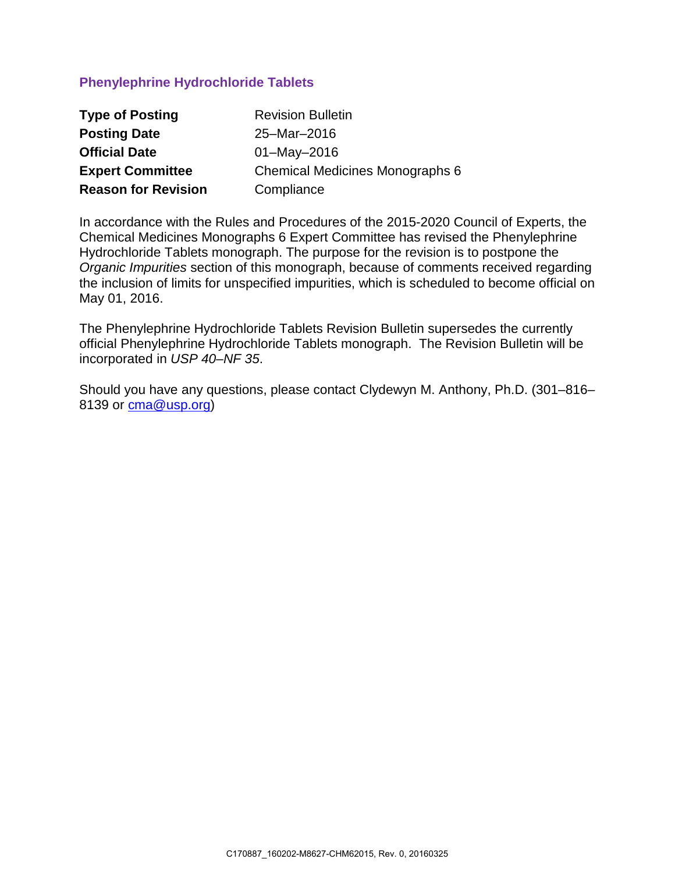### **Phenylephrine Hydrochloride Tablets**

| <b>Type of Posting</b>     | <b>Revision Bulletin</b>        |
|----------------------------|---------------------------------|
| <b>Posting Date</b>        | 25-Mar-2016                     |
| <b>Official Date</b>       | $01 - May - 2016$               |
| <b>Expert Committee</b>    | Chemical Medicines Monographs 6 |
| <b>Reason for Revision</b> | Compliance                      |

In accordance with the Rules and Procedures of the 2015-2020 Council of Experts, the Chemical Medicines Monographs 6 Expert Committee has revised the Phenylephrine Hydrochloride Tablets monograph. The purpose for the revision is to postpone the *Organic Impurities* section of this monograph, because of comments received regarding the inclusion of limits for unspecified impurities, which is scheduled to become official on May 01, 2016.

The Phenylephrine Hydrochloride Tablets Revision Bulletin supersedes the currently official Phenylephrine Hydrochloride Tablets monograph. The Revision Bulletin will be incorporated in *USP 40–NF 35*.

Should you have any questions, please contact Clydewyn M. Anthony, Ph.D. (301–816– 8139 or [cma@usp.org\)](mailto:cma@usp.org)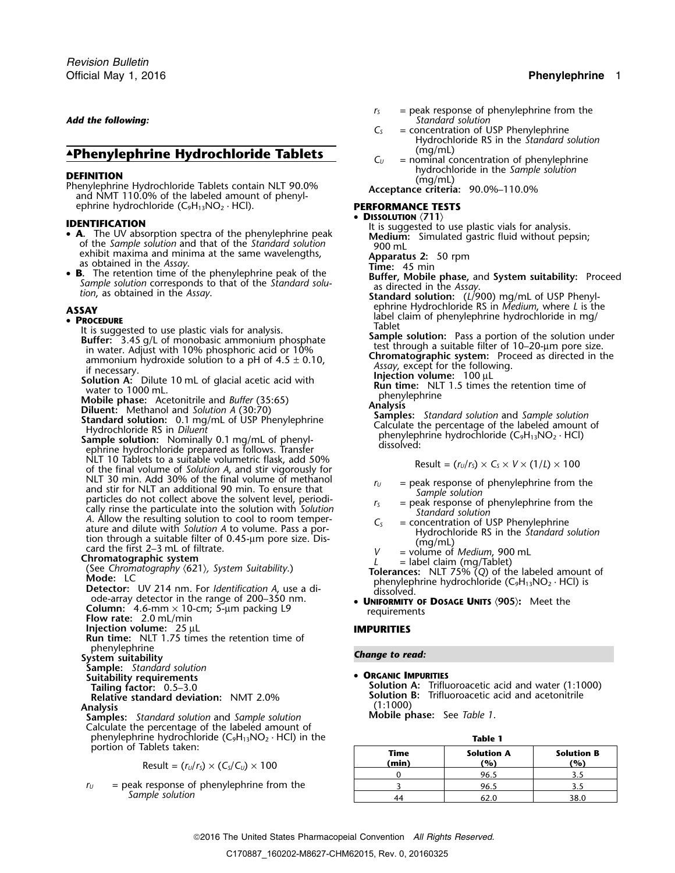### *Add the following:* Standard Solution  $C_5$

## ▲ (mg/mL) **.Phenylephrine Hydrochloride Tablets** *<sup>C</sup><sup>U</sup>* = nominal concentration of phenylephrine

**DEFINITION**<br> **DEFINITION** (mg/mL)<br>
Phenylephrine Hydrochloride Tablets contain NLT 90.0%<br>
and NMT 110.0% of the labeled amount of phenyl-<br> **PERFORMANCE TESTS**<br> **PERFORMANCE TESTS** ephrine hydrochloride (C<sub>9</sub>H<sub>13</sub>NO<sub>2</sub> · HCl).

- of the *Sample solution* and that of the *Standard solution*<br>exhibit maxima and minima at the same wavelengths,<br>as obtained in the *Assay*.<br>**Apparatus 2:** 50 rpm
- B. The retention time of the phenylephrine peak of the • **B.** The retention time of the phenylephrine peak of the **Buffer, Mobile phase, and System suitability:** Proceed Sample solution corresponds to that of the Standard solu-<br>tion, as obtained in the Assay.<br>**Standard solutio**

• **PROCEDURE**<br>
It is suggested to use plastic vials for analysis.<br>
Buffer: 3.45 g/L of monobasic ammonium phosphate<br>
in water. Adjust with 10% phosphoric acid or 10%<br>
ammonium phosphate<br>
in water. Adjust with 10% phosphor

- 
- NLT 10 Tablets to a suitable volumetric flask, add 50% Result =  $(r<sub>U</sub>/r<sub>S</sub>) \times C<sub>S</sub> \times V \times (1/L) \times 100$ <br>of the final volume of *Solution A*, and stir vigorously for<br>NLT 30 min. Add 30% of the final volume of methanol NLT 30 min. Add 30% of the final volume of methanol<br>
and sit for NLT an additional 90 min. To ensure that<br>
and sit for NLT and aditional 90 min. To ensure that<br>
cally rinse the particulate into the solution with *Solution*

- 
- 

**Injection volume:** 25 µL **IMPURITIES Run time:** NLT 1.75 times the retention time of <sup>p</sup>henylephrine *Change to read:* **System suitability**

**Sample:** *Standard solution*

**Suitability requirements** • **ORGANIC IMPURITIES** 

# **Analysis** (1:1000)

Analysis<br>**Samples:** *Standard solution* and *Sample solution* **Mobile phase:** See *Table 1*. Calculate the percentage of the labeled amount of phenylephrine hydrochloride (C<sub>9</sub>H<sub>13</sub>NO<sub>2</sub> · HCl) in the **Table 1** portion of Tablets taken:

 $\text{Result} = (r_U/r_S) \times (C_S/C_U) \times 100$ 

 $r_U$  = peak response of phenylephrine from the Sample solution

- *r*<sub>S</sub> = peak response of phenylephrine from the *Standard solution* 
	- = concentration of USP Phenylephrine . Hydrochloride RS in the *Standard solution*
- 

### •

**DENTIFICATION**<br>
• **A**. The UV absorption spectra of the phenylephrine peak lt is suggested to use plastic vials for analysis.<br> **A.** The UV absorption spectra of the phenylephrine peak **Medium:** Simulated gastric fluid wit

- 
- ephrine Hydrochloride RS in *Medium*, where *L* is the **ASSAY** label claim of phenylephrine hydrochloride in mg/ •

water to 1000 mL.<br>
Mobile phase: Acetonitrile and *Buffer* (35:65)<br> **Diluent:** Methanol and *Solution A* (30:70)<br> **Standard solution:** 0.1 mg/mL of USP Phenylephrine<br> **Standard solution:** 0.1 mg/mL of USP Phenylephrine<br>

- 
- 
- 
- 
- 
- 
- ode-array detector in the range of 200–350 nm.<br> **Column:** 4.6-mm × 10-cm; 5-µm packing L9 requirements **Posage UNITS** (905): Meet the requirements

Tailing factor: 0.5–3.0<br> **Tailing factor:** 0.5–3.0<br> **Relative standard deviation:** NMT 2.0% **1.5 a.m. Solution B:** Trifluoroacetic acid and acetonitrile **Solution B:** Trifluoroacetic acid and acetonitrile (1:1000)

| Table 1       |                          |                          |  |  |  |
|---------------|--------------------------|--------------------------|--|--|--|
| Time<br>(min) | <b>Solution A</b><br>(%) | <b>Solution B</b><br>'%) |  |  |  |
|               | 96.5                     | 3.5                      |  |  |  |
|               | 96.5                     | 3.5                      |  |  |  |
|               |                          | 38.0                     |  |  |  |